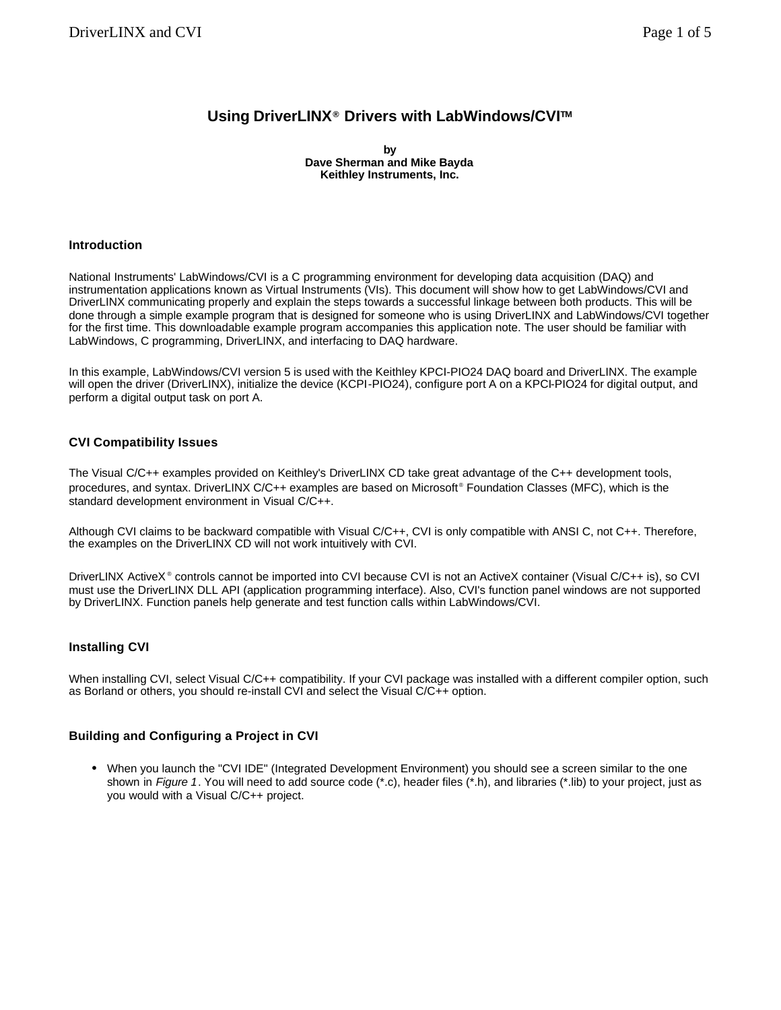# **Using DriverLINX® Drivers with LabWindows/CVITM**

**by Dave Sherman and Mike Bayda Keithley Instruments, Inc.**

## **Introduction**

National Instruments' LabWindows/CVI is a C programming environment for developing data acquisition (DAQ) and instrumentation applications known as Virtual Instruments (VIs). This document will show how to get LabWindows/CVI and DriverLINX communicating properly and explain the steps towards a successful linkage between both products. This will be done through a simple example program that is designed for someone who is using DriverLINX and LabWindows/CVI together for the first time. This downloadable example program accompanies this application note. The user should be familiar with LabWindows, C programming, DriverLINX, and interfacing to DAQ hardware.

In this example, LabWindows/CVI version 5 is used with the Keithley KPCI-PIO24 DAQ board and DriverLINX. The example will open the driver (DriverLINX), initialize the device (KCPI-PIO24), configure port A on a KPCI-PIO24 for digital output, and perform a digital output task on port A.

# **CVI Compatibility Issues**

The Visual C/C++ examples provided on Keithley's DriverLINX CD take great advantage of the C++ development tools, procedures, and syntax. DriverLINX C/C++ examples are based on Microsoft<sup>®</sup> Foundation Classes (MFC), which is the standard development environment in Visual C/C++.

Although CVI claims to be backward compatible with Visual C/C++, CVI is only compatible with ANSI C, not C++. Therefore, the examples on the DriverLINX CD will not work intuitively with CVI.

DriverLINX ActiveX<sup>®</sup> controls cannot be imported into CVI because CVI is not an ActiveX container (Visual C/C++ is), so CVI must use the DriverLINX DLL API (application programming interface). Also, CVI's function panel windows are not supported by DriverLINX. Function panels help generate and test function calls within LabWindows/CVI.

# **Installing CVI**

When installing CVI, select Visual C/C++ compatibility. If your CVI package was installed with a different compiler option, such as Borland or others, you should re-install CVI and select the Visual C/C++ option.

#### **Building and Configuring a Project in CVI**

• When you launch the "CVI IDE" (Integrated Development Environment) you should see a screen similar to the one shown in *Figure 1*. You will need to add source code (\*.c), header files (\*.h), and libraries (\*.lib) to your project, just as you would with a Visual C/C++ project.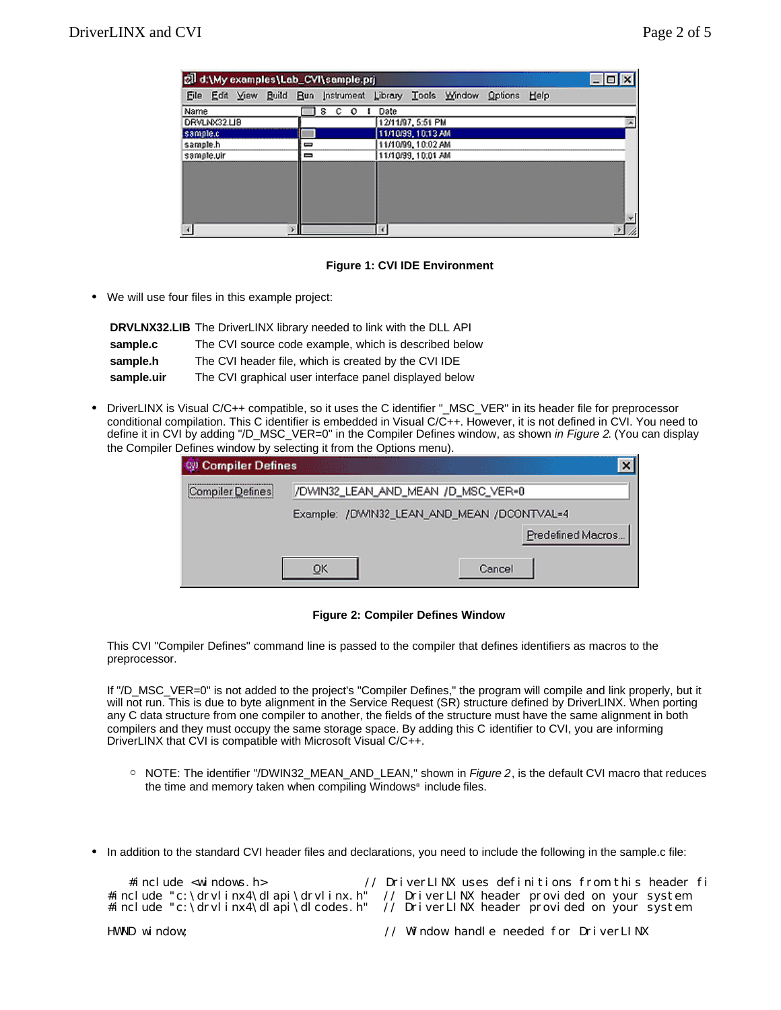| cil d:\My examples\Lab_CVI\sample.prj |                   |                                                             |      |
|---------------------------------------|-------------------|-------------------------------------------------------------|------|
| File                                  |                   | Edit View Build Bun Instrument Library Tools Window Options | Help |
| Name                                  | s<br>с<br>$\circ$ | Date                                                        |      |
| DRVLNX32.LI8                          |                   | 12/11/97, 5:51 PM                                           |      |
| sample.c                              |                   | 11/10/99_10:13 AM                                           |      |
| sample.h                              | ⊟                 | 11/10/99, 10:02 AM                                          |      |
| sample.uir                            | —                 | 11/10/99, 10:01 AM                                          |      |
|                                       |                   |                                                             |      |
|                                       |                   |                                                             |      |
|                                       |                   |                                                             |      |
|                                       |                   |                                                             |      |
|                                       |                   |                                                             |      |
|                                       |                   |                                                             |      |

#### **Figure 1: CVI IDE Environment**

• We will use four files in this example project:

|            | <b>DRVLNX32.LIB</b> The DriverLINX library needed to link with the DLL API |
|------------|----------------------------------------------------------------------------|
| sample.c   | The CVI source code example, which is described below                      |
| sample.h   | The CVI header file, which is created by the CVI IDE                       |
| sample.uir | The CVI graphical user interface panel displayed below                     |

• DriverLINX is Visual C/C++ compatible, so it uses the C identifier "\_MSC\_VER" in its header file for preprocessor conditional compilation. This C identifier is embedded in Visual C/C++. However, it is not defined in CVI. You need to define it in CVI by adding "/D\_MSC\_VER=0" in the Compiler Defines window, as shown *in Figure 2*. (You can display the Compiler Defines window by selecting it from the Options menu).

| Compiler Defines |    |                                            |        |                   | $\boldsymbol{\mathsf{x}}$ |
|------------------|----|--------------------------------------------|--------|-------------------|---------------------------|
| Compiler Defines |    | //DWIN32_LEAN_AND_MEAN /D_MSC_VER=0        |        |                   |                           |
|                  |    | Example: /DWIN32_LEAN_AND_MEAN /DCONTVAL=4 |        |                   |                           |
|                  |    |                                            |        | Predefined Macros |                           |
|                  | OK |                                            | Cancel |                   |                           |

### **Figure 2: Compiler Defines Window**

This CVI "Compiler Defines" command line is passed to the compiler that defines identifiers as macros to the preprocessor.

If "/D\_MSC\_VER=0" is not added to the project's "Compiler Defines," the program will compile and link properly, but it will not run. This is due to byte alignment in the Service Request (SR) structure defined by DriverLINX. When porting any C data structure from one compiler to another, the fields of the structure must have the same alignment in both compilers and they must occupy the same storage space. By adding this C identifier to CVI, you are informing DriverLINX that CVI is compatible with Microsoft Visual C/C++.

- ° NOTE: The identifier "/DWIN32\_MEAN\_AND\_LEAN," shown in *Figure 2*, is the default CVI macro that reduces the time and memory taken when compiling Windows® include files.
- In addition to the standard CVI header files and declarations, you need to include the following in the sample.c file:

| #i ncl ude $\leq$ wi ndows. h> | // DriverLINX uses definitions from this header fi<br>#include "c:\drvlinx4\dlapi\drvlinx.h" // DriverLINX header provided on your system<br>#include "c: \drvlinx4\dlapi\dlcodes.h" // DriverLINX header provided on your system |
|--------------------------------|-----------------------------------------------------------------------------------------------------------------------------------------------------------------------------------------------------------------------------------|
| HWND window:                   | // Window handle needed for DriverLINX                                                                                                                                                                                            |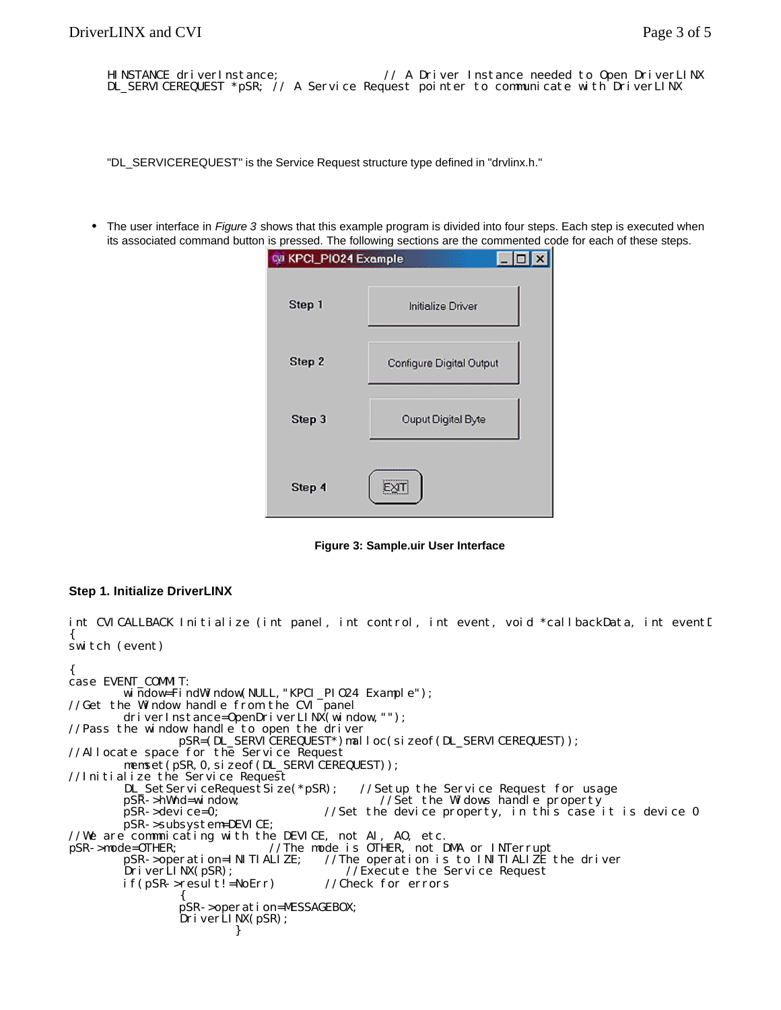HINSTANCE driverInstance;  $\frac{1}{4}$  A Driver Instance needed to Open DriverLINX DL\_SERVICEREQUEST \*pSR; // A Service Request pointer to communicate with DriverLINX

"DL\_SERVICEREQUEST" is the Service Request structure type defined in "drvlinx.h."

• The user interface in *Figure 3* shows that this example program is divided into four steps. Each step is executed when its associated command button is pressed. The following sections are the commented code for each of these steps.

| <b>WE KPCI_PIO24 Example</b> |                          |
|------------------------------|--------------------------|
| Step 1                       | Initialize Driver        |
| Step 2                       | Configure Digital Output |
| Step 3                       | Ouput Digital Byte       |
| Step 4                       |                          |

**Figure 3: Sample.uir User Interface**

#### **Step 1. Initialize DriverLINX**

int CVICALLBACK Initialize (int panel, int control, int event, void \*callbackData, int eventI { switch (event)

{ case EVENT\_COMMIT: window=FindWindow(NULL, "KPCI\_PI024 Example"); //Get the Window handle from the CVI panel driverInstance=OpenDriverLINX(window,"");  $//Pass the window handle to open the driver$ pSR=(DL\_SERVICEREQUEST\*)malloc(sizeof(DL\_SERVICEREQUEST)); //Allocate space for the Service Request memset(pSR, 0, sizeof(DL\_SERVICEREQUEST)); //Initialize the Service Request DL\_SetServiceRequestSize(\*pSR); //Setup the Service Request for usage pSR->hWnd=window; //Set the Widows handle property<br>pSR->device=0; //Set the device property, in this case  $1/8$ et the device property, in this case it is device 0 pSR->subsystem=DEVICE; //We are commnicating with the DEVICE, not AI, AO, etc. pSR->mode=0THER; //The mode is 0THER, not DMA or INTerrupt<br>pSR->operation=INITIALIZE; //The operation is to INITIALIZE pSR->operation=INITIALIZE; //The operation is to INITIALIZE the driver  $//$ Execute the Service Request if(pSR->result!=NoErr) //Check for errors  $\left\{ \begin{array}{ccc} & & & \end{array} \right.$  pSR->operation=MESSAGEBOX; DriverLINX(pSR); }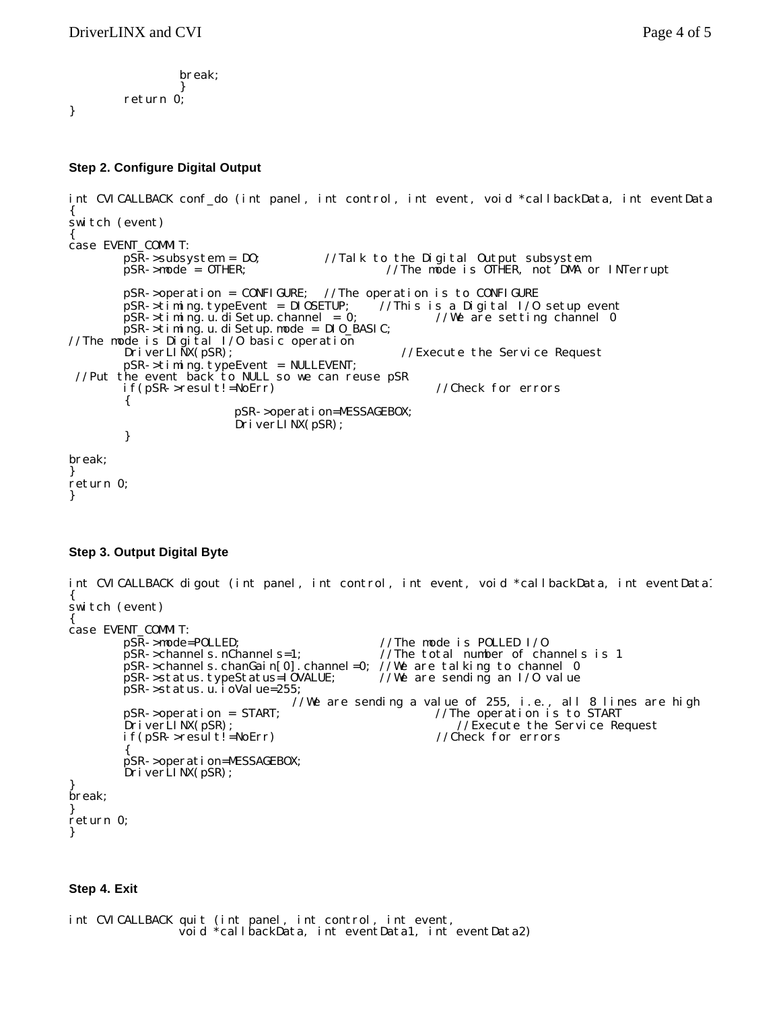```
 break; 
 } 
      return 0;
```
}

# **Step 2. Configure Digital Output**

```
int CVICALLBACK conf_do (int panel, int control, int event, void *callbackData, int eventData
{ 
switch (event) 
{ 
case EVENT_COMMIT: 
        pSR->subsystem = DO; //Talk to the Digital Output subsystem<br>pSR->mode = OTHER; //The mode is OTHER, not DMA or
                                               \sqrt{m} /The mode is OTHER, not DMA or INTerrupt
         pSR->operation = CONFIGURE; //The operation is to CONFIGURE 
         pSR->timing.typeEvent = DIOSETUP; //This is a Digital I/O setup event 
        pSR->timing.u.diSetup.channel = 0; //We are setting channel 0
pSR - >timing.u.diSetup.mode = DIO_BASIC;
//The mode is Digital I/O basic operation 
        DriverLINX(pSR); \frac{1}{2} //Execute the Service Request
 pSR->timing.typeEvent = NULLEVENT; 
 //Put the event back to NULL so we can reuse pSR 
         if(pSR->result!=NoErr) //Check for errors 
         { 
                         pSR->operation=MESSAGEBOX; 
                         DriverLINX(pSR); 
         } 
break; 
} 
return 0; 
}
```
# **Step 3. Output Digital Byte**

```
int CVICALLBACK digout (int panel, int control, int event, void *callbackData, int eventData1
{ 
switch (event) 
{ 
case EVENT_COMMIT:<br>pSR->mode=POLLED;
                                                //The mode is POLLED I/O
         pSR->channels.nChannels=1; //The total number of channels is 1 
        pSR->channels.chanGain[0].channel=0; //We are talking to channel 0<br>pSR->status.typeStatus=I0VALUE; //We are sending an I/0 value
        pSR->status.typeStatus=IOVALUE;
        pSR -status.u. i oValue=255;
                                   //We are sending a value of 255, i.e., all 8 lines are high
         pSR->operation = START; //The operation is to START 
        DriverLINX(pSR); \overline{O} //Execute the Service Request
         if(pSR->result!=NoErr) //Check for errors 
\left\{\begin{array}{ccc} \end{array}\right\} pSR->operation=MESSAGEBOX; 
 DriverLINX(pSR); 
} 
break; 
} 
return 0; 
}
```
#### **Step 4. Exit**

int CVICALLBACK quit (int panel, int control, int event, void \*callbackData, int eventData1, int eventData2)